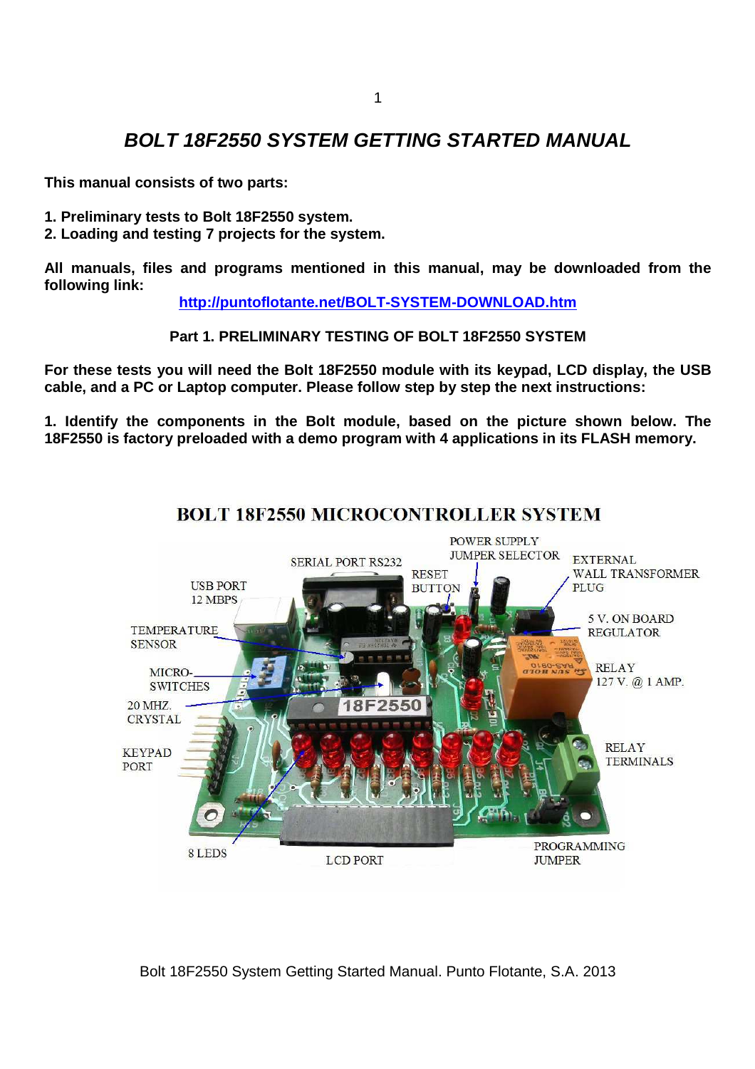## **BOLT 18F2550 SYSTEM GETTING STARTED MANUAL**

**This manual consists of two parts:** 

- **1. Preliminary tests to Bolt 18F2550 system.**
- **2. Loading and testing 7 projects for the system.**

**All manuals, files and programs mentioned in this manual, may be downloaded from the following link:** 

**http://puntoflotante.net/BOLT-SYSTEM-DOWNLOAD.htm**

**Part 1. PRELIMINARY TESTING OF BOLT 18F2550 SYSTEM** 

**For these tests you will need the Bolt 18F2550 module with its keypad, LCD display, the USB cable, and a PC or Laptop computer. Please follow step by step the next instructions:** 

**1. Identify the components in the Bolt module, based on the picture shown below. The 18F2550 is factory preloaded with a demo program with 4 applications in its FLASH memory.** 



## **BOLT 18F2550 MICROCONTROLLER SYSTEM**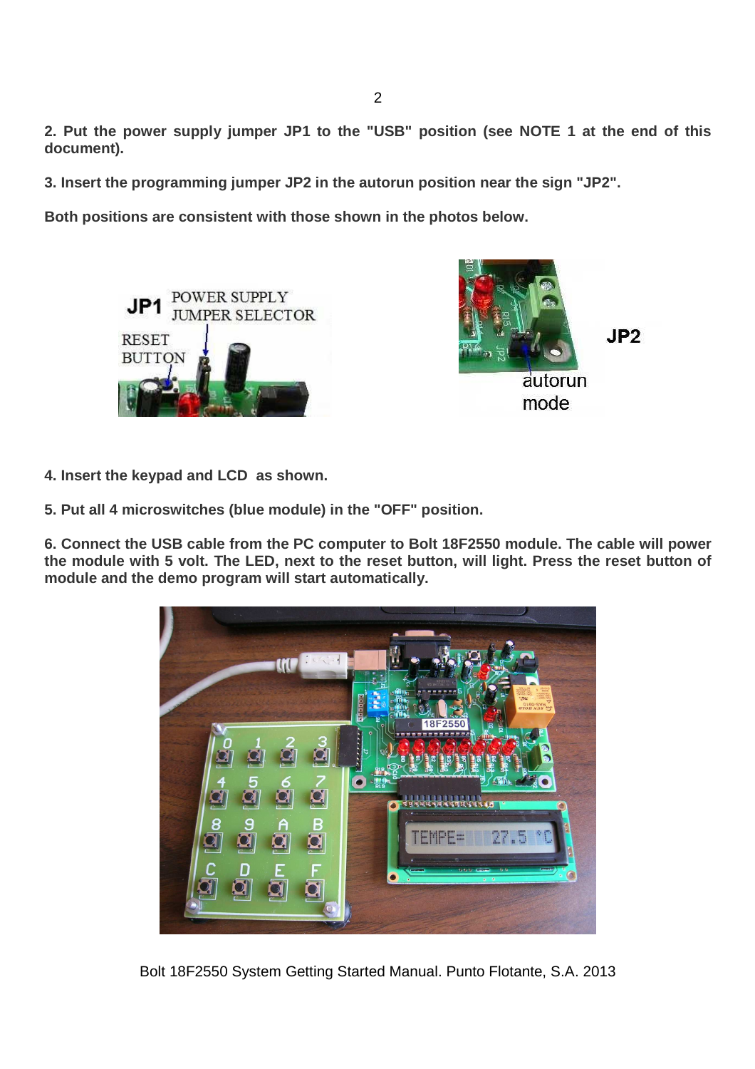**2. Put the power supply jumper JP1 to the "USB" position (see NOTE 1 at the end of this document).** 

**3. Insert the programming jumper JP2 in the autorun position near the sign "JP2".** 

**Both positions are consistent with those shown in the photos below.** 





 $JP2$ 

**4. Insert the keypad and LCD as shown.** 

**5. Put all 4 microswitches (blue module) in the "OFF" position.** 

**6. Connect the USB cable from the PC computer to Bolt 18F2550 module. The cable will power the module with 5 volt. The LED, next to the reset button, will light. Press the reset button of module and the demo program will start automatically.** 

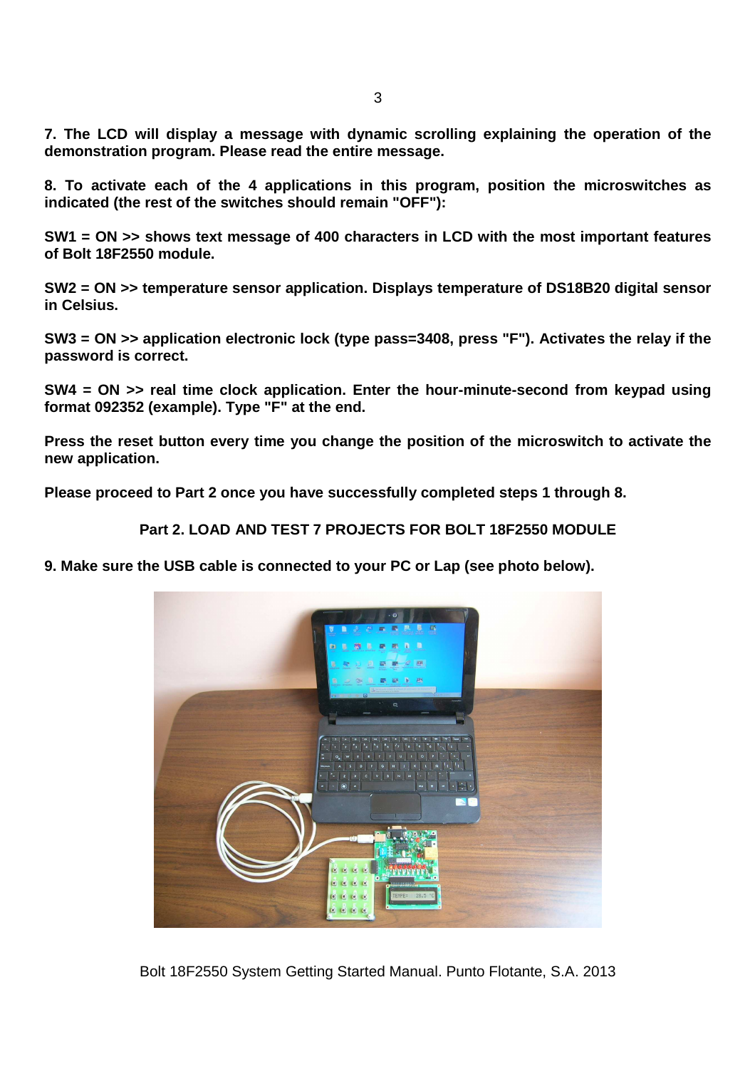**7. The LCD will display a message with dynamic scrolling explaining the operation of the demonstration program. Please read the entire message.** 

**8. To activate each of the 4 applications in this program, position the microswitches as indicated (the rest of the switches should remain "OFF"):** 

**SW1 = ON >> shows text message of 400 characters in LCD with the most important features of Bolt 18F2550 module.** 

**SW2 = ON >> temperature sensor application. Displays temperature of DS18B20 digital sensor in Celsius.** 

**SW3 = ON >> application electronic lock (type pass=3408, press "F"). Activates the relay if the password is correct.** 

**SW4 = ON >> real time clock application. Enter the hour-minute-second from keypad using format 092352 (example). Type "F" at the end.** 

**Press the reset button every time you change the position of the microswitch to activate the new application.** 

**Please proceed to Part 2 once you have successfully completed steps 1 through 8.** 

**Part 2. LOAD AND TEST 7 PROJECTS FOR BOLT 18F2550 MODULE** 

**9. Make sure the USB cable is connected to your PC or Lap (see photo below).** 

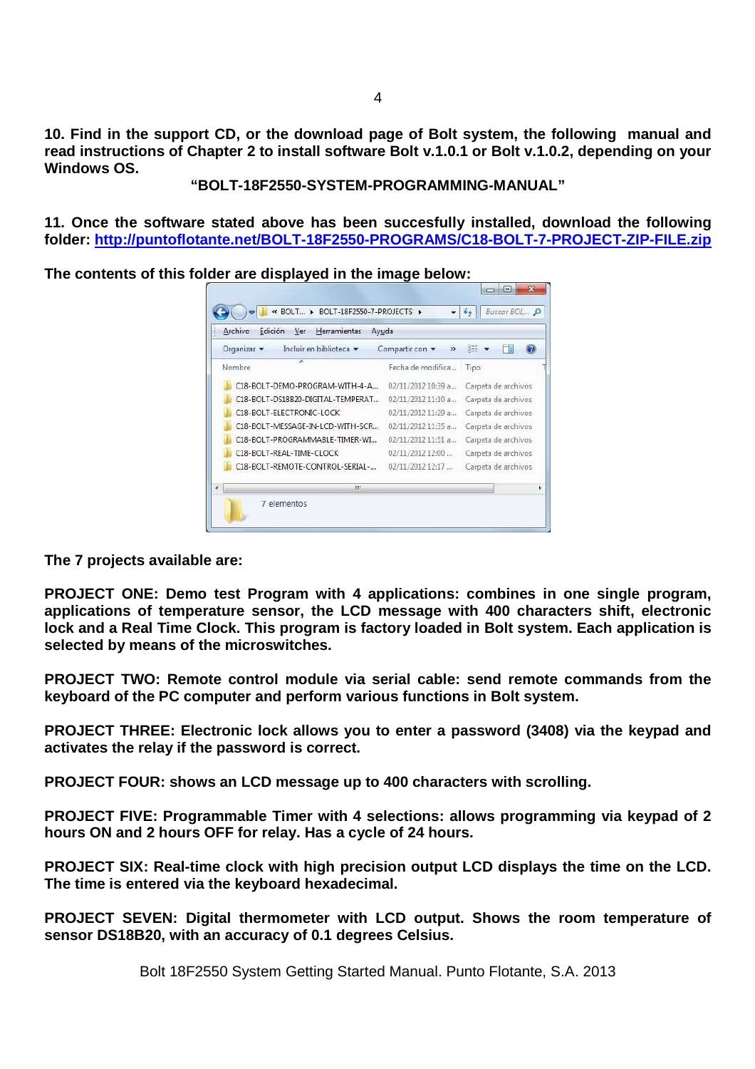**10. Find in the support CD, or the download page of Bolt system, the following manual and read instructions of Chapter 2 to install software Bolt v.1.0.1 or Bolt v.1.0.2, depending on your Windows OS.** 

**"BOLT-18F2550-SYSTEM-PROGRAMMING-MANUAL"** 

**11. Once the software stated above has been succesfully installed, download the following folder: http://puntoflotante.net/BOLT-18F2550-PROGRAMS/C18-BOLT-7-PROJECT-ZIP-FILE.zip**

 $\Box$ 

**The contents of this folder are displayed in the image below:** 

| Archivo<br>Edición<br>Herramientas<br>Ver<br>Ayuda |                                  |                     |  |  |
|----------------------------------------------------|----------------------------------|---------------------|--|--|
| Organizar v<br>Incluir en biblioteca v             | Compartir con v<br>$\rightarrow$ | 胜                   |  |  |
| ×<br>Nombre                                        | Fecha de modifica                | Tipo                |  |  |
| C18-BOLT-DEMO-PROGRAM-WITH-4-A.,                   | 02/11/2012 10:39 a               | Carpeta de archivos |  |  |
| C18-BOLT-DS18B20-DIGITAL-TEMPERAT                  | 02/11/2012 11:10 a               | Carpeta de archivos |  |  |
| C18-BOLT-FLECTRONIC-LOCK                           | 02/11/2012 11:29 a               | Carpeta de archivos |  |  |
| C18-BOLT-MESSAGE-IN-LCD-WITH-SCR                   | 02/11/2012 11:35 a               | Carpeta de archivos |  |  |
| C18-BOLT-PROGRAMMABLE-TIMER-WI                     | 02/11/2012 11:51 a               | Carpeta de archivos |  |  |
| C18-BOLT-REAL-TIME-CLOCK                           | 02/11/2012 12:00                 | Carpeta de archivos |  |  |
| C18-BOLT-REMOTE-CONTROL-SERIAL-                    | 02/11/2012 12:17                 | Carpeta de archivos |  |  |
| m                                                  |                                  |                     |  |  |

**The 7 projects available are:** 

**PROJECT ONE: Demo test Program with 4 applications: combines in one single program, applications of temperature sensor, the LCD message with 400 characters shift, electronic lock and a Real Time Clock. This program is factory loaded in Bolt system. Each application is selected by means of the microswitches.** 

**PROJECT TWO: Remote control module via serial cable: send remote commands from the keyboard of the PC computer and perform various functions in Bolt system.** 

**PROJECT THREE: Electronic lock allows you to enter a password (3408) via the keypad and activates the relay if the password is correct.** 

**PROJECT FOUR: shows an LCD message up to 400 characters with scrolling.** 

**PROJECT FIVE: Programmable Timer with 4 selections: allows programming via keypad of 2 hours ON and 2 hours OFF for relay. Has a cycle of 24 hours.** 

**PROJECT SIX: Real-time clock with high precision output LCD displays the time on the LCD. The time is entered via the keyboard hexadecimal.** 

**PROJECT SEVEN: Digital thermometer with LCD output. Shows the room temperature of sensor DS18B20, with an accuracy of 0.1 degrees Celsius.**